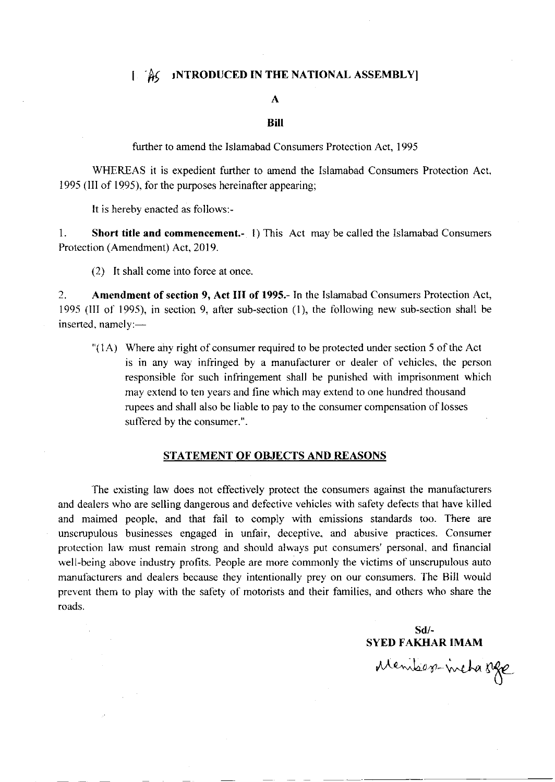### [Feg. 1NTRODUCED IN THE NATIONAL ASSEMBLY]

#### $\mathbf{A}$

#### **Bill**

further to amend the Islamabad Consumers Protection Act, 1995

WHEREAS it is expedient further to amend the Islamabad Consumers Protection Act, 1995 (III of 1995), for the purposes hereinafter appearing;

It is hereby enacted as follows:-

 $\mathbf{1}$ . Short title and commencement.- 1) This Act may be called the Islamabad Consumers Protection (Amendment) Act, 2019.

(2) It shall come into force at once.

2. Amendment of section 9, Act III of 1995.- In the Islamabad Consumers Protection Act, 1995 (III of 1995), in section 9, after sub-section (1), the following new sub-section shall be inserted, namely:-

"(1A) Where any right of consumer required to be protected under section 5 of the Act is in any way infringed by a manufacturer or dealer of vehicles, the person responsible for such infringement shall be punished with imprisonment which may extend to ten years and fine which may extend to one hundred thousand rupees and shall also be liable to pay to the consumer compensation of losses suffered by the consumer.".

#### **STATEMENT OF OBJECTS AND REASONS**

The existing law does not effectively protect the consumers against the manufacturers and dealers who are selling dangerous and defective vehicles with safety defects that have killed and maimed people, and that fail to comply with emissions standards too. There are unscrupulous businesses engaged in unfair, deceptive, and abusive practices. Consumer protection law must remain strong and should always put consumers' personal, and financial well-being above industry profits. People are more commonly the victims of unscrupulous auto manufacturers and dealers because they intentionally prey on our consumers. The Bill would prevent them to play with the safety of motorists and their families, and others who share the roads.

 $Sd$ /-**SYED FAKHAR IMAM** 

Members-inchasse